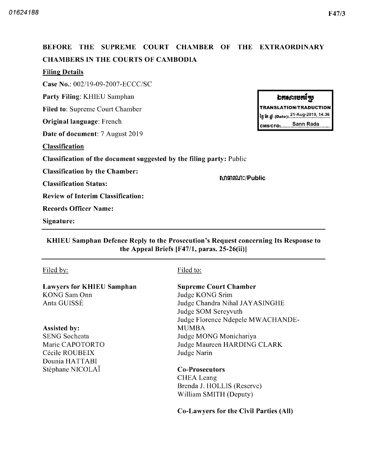# BEFORE THE SUPREME COURT CHAMBER OF THE EXTRAORDINARY CHAMBERS IN THE COURTS OF CAMBODIA Filing Details Case No.: 002/19-09-2007-ECCC/SC Party Filing: KHIEU Samphan ឯកសារបតស្មែ TRANSLATION/TRADUCTION Filed to: Supreme Court Chamber ້າງ ເ້ຍ ຫຼຳ (Date): 21-Aug-2019, 14:36 Original language: French смs/сғо..........<u>Sann Rada</u> Date of document: 7 August 2019 Classification Classification of the document suggested by the filing party: Public Classification by the Chamber សាធារណ:/Public Classification Status Review of Interim Classification Records Officer Name Signature

# KHIEU Samphan Defence Reply to the Prosecution's Request concerning Its Response to the Appeal Briefs  $[F47/1, \text{ paras. } 25-26(ii)]$

# Filed by: Filed to:

Lawyers for KHIEU Samphan KONG Sam Onn Anta GUISSÉ

Assisted by SENG Socheata Marie CAPOTORTO Cécile ROUBEIX Dounia HATTABI Stéphane NICOLAÏ Co-Prosecutors

# Supreme Court Chamber

Judge KONG Srim Judge Chandra Nihal JAYASINGHE Judge SOM Sereyvuth Judge Florence Ndepele MWACHANDE MUMBA Judge MONG Monichariya Judge Maureen HARDING CLARK Judge Narin

# CHEA Leang Brenda J. HOLLIS (Reserve) William SMITH (Deputy)

Co-Lawyers for the Civil Parties (All)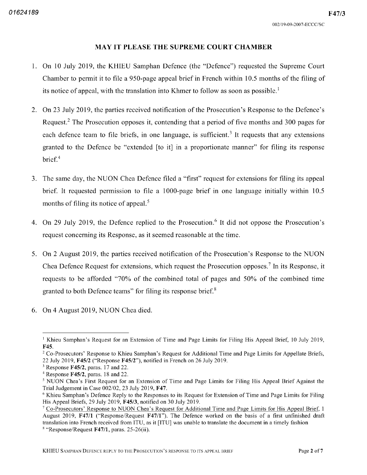### MAY IT PLEASE THE SUPREME COURT CHAMBER

- 1. On 10 July 2019, the KHIEU Samphan Defence (the "Defence") requested the Supreme Court Chamber to permit it to file a 950-page appeal brief in French within  $10.5$  months of the filing of its notice of appeal, with the translation into Khmer to follow as soon as possible.<sup>1</sup>
- 2. On 23 July 2019, the parties received notification of the Prosecution's Response to the Defence's Request.<sup>2</sup> The Prosecution opposes it, contending that a period of five months and 300 pages for each defence team to file briefs, in one language, is sufficient.<sup>3</sup> It requests that any extensions granted to the Defence be "extended [to it] in a proportionate manner" for filing its response brief.<sup>4</sup>
- 3. The same day, the NUON Chea Defence filed a "first" request for extensions for filing its appeal brief. It requested permission to file a 1000-page brief in one language initially within 10.5 months of filing its notice of appeal.<sup>5</sup>
- 4. On 29 July 2019, the Defence replied to the Prosecution.<sup>6</sup> It did not oppose the Prosecution's request concerning its Response, as it seemed reasonable at the time.
- 5. On 2 August 2019, the parties received notification of the Prosecution's Response to the NUON Chea Defence Request for extensions, which request the Prosecution opposes. In its Response, it requests to be afforded "70% of the combined total of pages and  $50\%$  of the combined time granted to both Defence teams" for filing its response brief.<sup>8</sup>
- 6. On 4 August 2019, NUON Chea died.

<sup>&</sup>lt;sup>1</sup> Khieu Samphan's Request for an Extension of Time and Page Limits for Filing His Appeal Brief, 10 July 2019, F45

<sup>&</sup>lt;sup>2</sup> Co-Prosecutors' Response to Khieu Samphan's Request for Additional Time and Page Limits for Appellate Briefs, 22 July 2019,  $F45/2$  ("Response  $F45/2$ "), notified in French on 26 July 2019.

 $3$  Response F45/2, paras. 17 and 22.

Response F45/2, paras. 18 and 22.

<sup>&</sup>lt;sup>5</sup> NUON Chea's First Request for an Extension of Time and Page Limits for Filing His Appeal Brief Against the Trial Judgement in Case  $002/02$ , 23 July 2019, F47.

<sup>&</sup>lt;sup>6</sup> Khieu Samphan's Defence Reply to the Responses to its Request for Extension of Time and Page Limits for Filing His Appeal Briefs, 29 July 2019, F45/3, notified on 30 July 2019.

 $\degree$  Co-Prosecutors' Response to NUON Chea's Request for Additional Time and Page Limits for His Appeal Brief, 1 August 2019, F47/1 ("Response/Request F47/1"). The Defence worked on the basis of a first unfinished draft translation into French received from ITU, as it [ITU] was unable to translate the document in a timely fashion Response/Request F47/1, paras. 25-26(ii).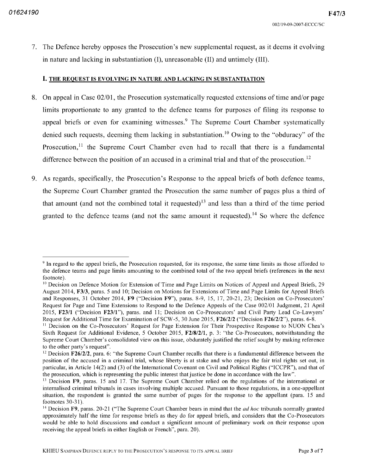$F47/3$ 

7. The Defence hereby opposes the Prosecution's new supplemental request, as it deems it evolving in nature and lacking in substantiation (I), unreasonable (II) and untimely (III).

# I. THE REQUEST IS EVOLVING IN NATURE AND LACKING IN SUBSTANTIATION

- 8. On appeal in Case 02/01, the Prosecution systematically requested extensions of time and/or page limits proportionate to any granted to the defence teams for purposes of filing its response to appeal briefs or even for examining witnesses.<sup>9</sup> The Supreme Court Chamber systematically denied such requests, deeming them lacking in substantiation.<sup>10</sup> Owing to the "obduracy" of the Prosecution,<sup>11</sup> the Supreme Court Chamber even had to recall that there is a fundamental difference between the position of an accused in a criminal trial and that of the prosecution.<sup>12</sup>
- 9. As regards, specifically, the Prosecution's Response to the appeal briefs of both defence teams, the Supreme Court Chamber granted the Prosecution the same number of pages plus a third of that amount (and not the combined total it requested)<sup>13</sup> and less than a third of the time period granted to the defence teams (and not the same amount it requested).<sup>14</sup> So where the defence

<sup>&</sup>lt;sup>9</sup> In regard to the appeal briefs, the Prosecution requested, for its response, the same time limits as those afforded to the defence teams and page limits amounting to the combined total of the two appeal briefs (references in the next footnote).

<sup>&</sup>lt;sup>10</sup> Decision on Defence Motion for Extension of Time and Page Limits on Notices of Appeal and Appeal Briefs, 29 August 2014, F3/3, paras, 5 and 10; Decision on Motions for Extensions of Time and Page Limits for Appeal Briefs and Responses, 31 October 2014, F9 ("Decision F9"), paras. 8-9, 15, 17, 20-21, 23; Decision on Co-Prosecutors' Request for Page and Time Extensions to Respond to the Defence Appeals of the Case 002/01 Judgment, 21 April 2015, F23/1 ("Decision F23/1"), paras, and 11; Decision on Co-Prosecutors' and Civil Party Lead Co-Lawyers' Request for Additional Time for Examination of SCW-5, 30 June 2015, F26/2/2 ("Decision F26/2/2"), paras. 6-8.

<sup>&</sup>lt;sup>11</sup> Decision on the Co-Prosecutors' Request for Page Extension for Their Prospective Response to NUON Chea's Sixth Request for Additional Evidence, 5 October 2015,  $F2/8/2/1$ , p. 3: "the Co-Prosecutors, notwithstanding the Supreme Court Chamber's consolidated view on this issue, obdurately justified the relief sought by making reference to the other party's request"

<sup>&</sup>lt;sup>12</sup> Decision F26/2/2, para. 6: "the Supreme Court Chamber recalls that there is a fundamental difference between the position of the accused in a criminal trial, whose liberty is at stake and who enjoys the fair trial rights set out, in particular, in Article 14(2) and (3) of the International Covenant on Civil and Political Rights ("ICCPR"), and that of the prosecution, which is representing the public interest that justice be done in accordance with the law".

<sup>&</sup>lt;sup>13</sup> Decision F9, paras. 15 and 17. The Supreme Court Chamber relied on the regulations of the international or internalised criminal tribunals in cases involving multiple accused. Pursuant to those regulations, in a one-appellant situation, the respondent is granted the same number of pages for the response to the appellant (para. 15 and footnotes 30-31).

<sup>&</sup>lt;sup>14</sup> Decision F9, paras. 20-21 ("The Supreme Court Chamber bears in mind that the *ad hoc* tribunals normally granted approximately half the time for response briefs as they do for appeal briefs, and considers that the Co-Prosecutors would be able to hold discussions and conduct a significant amount of preliminary work on their response upon receiving the appeal briefs in either English or French", para. 20)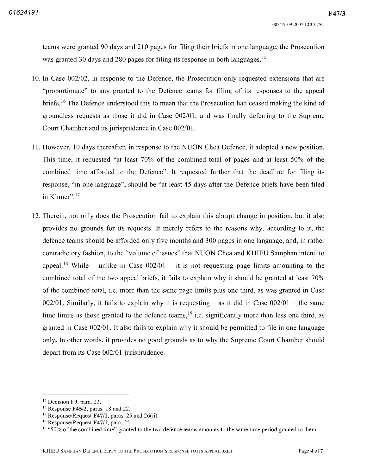teams were granted 90 days and 210 pages for filing their briefs in one language, the Prosecution was granted 30 days and 280 pages for filing its response in both languages.<sup>15</sup>

- 10. In Case 002/02, in response to the Defence, the Prosecution only requested extensions that are "proportionate" to any granted to the Defence teams for filing of its responses to the appeal briefs.<sup>16</sup> The Defence understood this to mean that the Prosecution had ceased making the kind of groundless requests as those it did in Case 002/01, and was finally deferring to the Supreme Court Chamber and its jurisprudence in Case 002/01.
- 11. However, 10 days thereafter, in response to the NUON Chea Defence, it adopted a new position. This time, it requested "at least  $70\%$  of the combined total of pages and at least  $50\%$  of the combined time afforded to the Defence". It requested further that the deadline for filing its response, "in one language", should be "at least 45 days after the Defence briefs have been filed in Khmer" 17
- 12. Therein, not only does the Prosecution fail to explain this abrupt change in position, but it also provides no grounds for its requests It merely refers to the reasons why according to it the defence teams should be afforded only five months and 300 pages in one language, and, in rather contradictory fashion, to the "volume of issues" that NUON Chea and KHIEU Samphan intend to appeal.<sup>18</sup> While – unlike in Case  $002/01$  – it is not requesting page limits amounting to the combined total of the two appeal briefs, it fails to explain why it should be granted at least  $70\%$ of the combined total, i.e. more than the same page limits plus one third, as was granted in Case 002/01. Similarly, it fails to explain why it is requesting  $-$  as it did in Case 002/01  $-$  the same time limits as those granted to the defence teams,  $19$  i.e. significantly more than less one third, as granted in Case  $002/01$ . It also fails to explain why it should be permitted to file in one language only. In other words, it provides no good grounds as to why the Supreme Court Chamber should depart from its Case  $002/01$  jurisprudence.

<sup>&</sup>lt;sup>15</sup> Decision **F9**, para. 23.

 $16$  Response F45/2, paras. 18 and 22.

 $^{17}$  Response/Request F47/1, paras. 25 and 26(ii).

 $^{18}$  Response/Request F47/1, para. 25.

<sup>&</sup>lt;sup>19</sup> "50% of the combined time" granted to the two defence teams amounts to the same time period granted to them.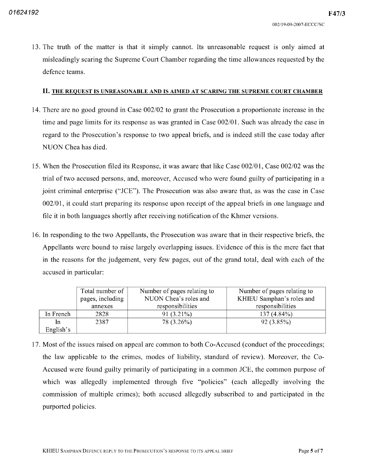F47/3

<sup>13</sup> The truth of the matter is that it simply cannot Its unreasonable request is only aimed at misleadingly scaring the Supreme Court Chamber regarding the time allowances requested by the defence teams

#### II. THE REQUEST IS UNREASONABLE AND IS AIMED AT SCARING THE SUPREME COURT CHAMBER

- 14. There are no good ground in Case 002/02 to grant the Prosecution a proportionate increase in the time and page limits for its response as was granted in Case 002/01. Such was already the case in regard to the Prosecution's response to two appeal briefs and is indeed still the case today after NUON Chea has died
- 15. When the Prosecution filed its Response, it was aware that like Case 002/01, Case 002/02 was the trial of two accused persons, and, moreover, Accused who were found guilty of participating in a joint criminal enterprise ("JCE"). The Prosecution was also aware that, as was the case in Case 002/01, it could start preparing its response upon receipt of the appeal briefs in one language and file it in both languages shortly after receiving notification of the Khmer versions.
- 16. In responding to the two Appellants, the Prosecution was aware that in their respective briefs, the Appellants were bound to raise largely overlapping issues. Evidence of this is the mere fact that in the reasons for the judgement, very few pages, out of the grand total, deal with each of the accused in particular

|           | Total number of<br>pages, including | Number of pages relating to<br>NUON Chea's roles and | Number of pages relating to<br>KHIEU Samphan's roles and |
|-----------|-------------------------------------|------------------------------------------------------|----------------------------------------------------------|
|           | annexes                             | responsibilities                                     | responsibilities                                         |
| In French | 2828                                | $91(3.21\%)$                                         | $137(4.84\%)$                                            |
| In        | 2387                                | 78 (3.26%)                                           | $92(3.85\%)$                                             |
| English's |                                     |                                                      |                                                          |

17. Most of the issues raised on appeal are common to both Co-Accused (conduct of the proceedings; the law applicable to the crimes, modes of liability, standard of review). Moreover, the Co-Accused were found guilty primarily of participating in a common JCE, the common purpose of which was allegedly implemented through five "policies" (each allegedly involving the commission of multiple crimes); both accused allegedly subscribed to and participated in the purported policies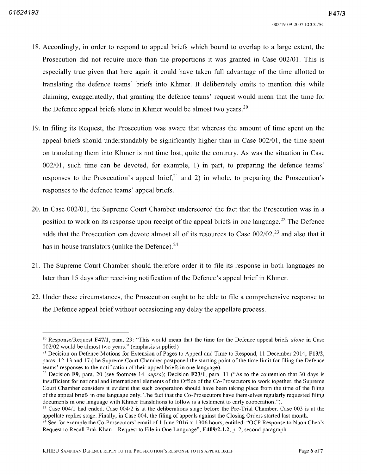- 18. Accordingly, in order to respond to appeal briefs which bound to overlap to a large extent, the Prosecution did not require more than the proportions it was granted in Case 002/01. This is especially true given that here again it could have taken full advantage of the time allotted to translating the defence teams' briefs into Khmer It deliberately omits to mention this while claiming, exaggeratedly, that granting the defence teams' request would mean that the time for the Defence appeal briefs alone in Khmer would be almost two years. $20$
- 19. In filing its Request, the Prosecution was aware that whereas the amount of time spent on the appeal briefs should understandably be significantly higher than in Case  $002/01$ , the time spent on translating them into Khmer is not time lost, quite the contrary. As was the situation in Case  $002/01$ , such time can be devoted, for example, 1) in part, to preparing the defence teams' responses to the Prosecution's appeal brief,  $2^1$  and 2) in whole, to preparing the Prosecution's responses to the defence teams' appeal briefs
- 20. In Case 002/01, the Supreme Court Chamber underscored the fact that the Prosecution was in a position to work on its response upon receipt of the appeal briefs in one language.<sup>22</sup> The Defence adds that the Prosecution can devote almost all of its resources to Case  $002/02$ ,<sup>23</sup> and also that it has in-house translators (unlike the Defence). $^{24}$
- <sup>21</sup> The Supreme Court Chamber should therefore order it to file its response in both languages no later than <sup>15</sup> days after receiving notification of the Defence's appeal brief in Khmer
- 22. Under these circumstances, the Prosecution ought to be able to file a comprehensive response to the Defence appeal brief without occasioning any delay the appellate process

<sup>&</sup>lt;sup>20</sup> Response/Request F47/1, para. 23: "This would mean that the time for the Defence appeal briefs *alone* in Case  $002/02$  would be almost two years." (emphasis supplied)

<sup>&</sup>lt;sup>21</sup> Decision on Defence Motions for Extension of Pages to Appeal and Time to Respond, 11 December 2014, F13<sub>*i*</sub> paras <sup>12</sup> <sup>13</sup> and <sup>17</sup> the Supreme Court Chamber postponed the starting point of the time limit for filing the Defence teams' responses to the notification of their appeal briefs in one language

<sup>&</sup>lt;sup>22</sup> Decision F9, para. 20 (see footnote 14. *supra*); Decision F23/1, para. 11 ("As to the contention that 30 days is insufficient for national and international elements of the Office of the Co-Prosecutors to work together, the Supreme Court Chamber considers it evident that such cooperation should have been taking place from the time of the filing of the appeal briefs in one language only The fact that the Co Prosecutors have themselves regularly requested filing documents in one language with Khmer translations to follow is a testament to early cooperation.").

<sup>&</sup>lt;sup>23</sup> Case 004/1 had ended. Case 004/2 is at the deliberations stage before the Pre-Trial Chamber. Case 003 is at the appellate replies stage. Finally, in Case 004, the filing of appeals against the Closing Orders started last month.

<sup>&</sup>lt;sup>24</sup> See for example the Co-Prosecutors' email of 1 June 2016 at 1306 hours, entitled: "OCP Response to Nuon Chea's Request to Recall Prak Khan – Request to File in One Language",  $E409/2.1.2$ , p. 2, second paragraph.